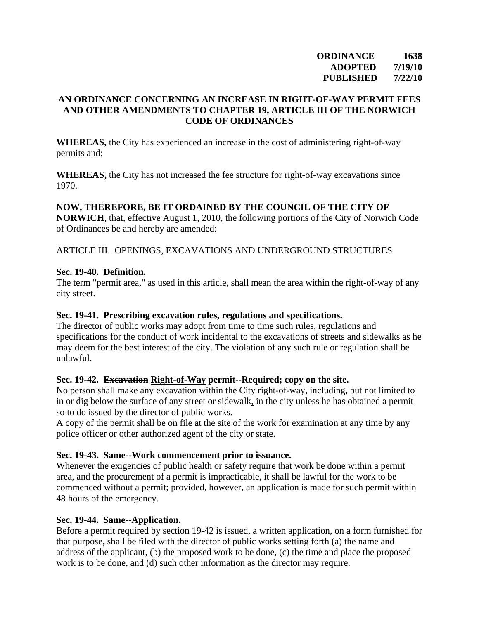**ORDINANCE 1638 ADOPTED 7/19/10 PUBLISHED 7/22/10** 

## **AN ORDINANCE CONCERNING AN INCREASE IN RIGHT-OF-WAY PERMIT FEES AND OTHER AMENDMENTS TO CHAPTER 19, ARTICLE III OF THE NORWICH CODE OF ORDINANCES**

**WHEREAS,** the City has experienced an increase in the cost of administering right-of-way permits and;

**WHEREAS,** the City has not increased the fee structure for right-of-way excavations since 1970.

### **NOW, THEREFORE, BE IT ORDAINED BY THE COUNCIL OF THE CITY OF**

**NORWICH**, that, effective August 1, 2010, the following portions of the City of Norwich Code of Ordinances be and hereby are amended:

### ARTICLE III. OPENINGS, EXCAVATIONS AND UNDERGROUND STRUCTURES

#### **Sec. 19-40. Definition.**

The term "permit area," as used in this article, shall mean the area within the right-of-way of any city street.

### **Sec. 19-41. Prescribing excavation rules, regulations and specifications.**

The director of public works may adopt from time to time such rules, regulations and specifications for the conduct of work incidental to the excavations of streets and sidewalks as he may deem for the best interest of the city. The violation of any such rule or regulation shall be unlawful.

#### **Sec. 19-42. Excavation Right-of-Way permit--Required; copy on the site.**

No person shall make any excavation within the City right-of-way, including, but not limited to in or dig below the surface of any street or sidewalk, in the city unless he has obtained a permit so to do issued by the director of public works.

A copy of the permit shall be on file at the site of the work for examination at any time by any police officer or other authorized agent of the city or state.

## **Sec. 19-43. Same--Work commencement prior to issuance.**

Whenever the exigencies of public health or safety require that work be done within a permit area, and the procurement of a permit is impracticable, it shall be lawful for the work to be commenced without a permit; provided, however, an application is made for such permit within 48 hours of the emergency.

## **Sec. 19-44. Same--Application.**

Before a permit required by section 19-42 is issued, a written application, on a form furnished for that purpose, shall be filed with the director of public works setting forth (a) the name and address of the applicant, (b) the proposed work to be done, (c) the time and place the proposed work is to be done, and (d) such other information as the director may require.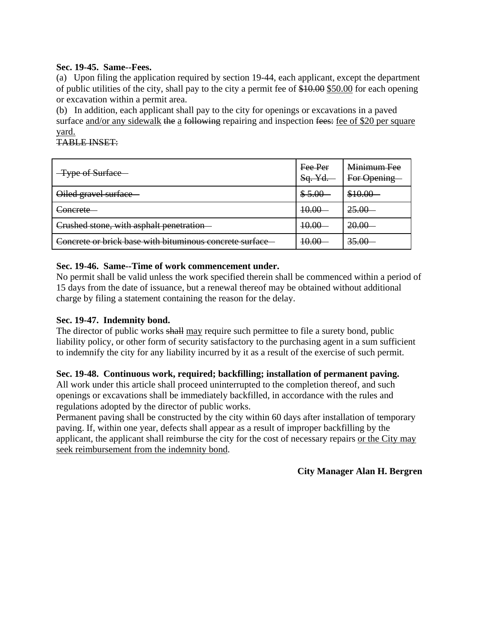## **Sec. 19-45. Same--Fees.**

(a) Upon filing the application required by section 19-44, each applicant, except the department of public utilities of the city, shall pay to the city a permit fee of \$10.00 \$50.00 for each opening or excavation within a permit area.

(b) In addition, each applicant shall pay to the city for openings or excavations in a paved surface and/or any sidewalk the a following repairing and inspection fees: fee of \$20 per square yard.

# TABLE INSET:

| -Type of Surface                                        | Fee Per<br>Sq. Yd. | Minimum Fee<br>For Opening |
|---------------------------------------------------------|--------------------|----------------------------|
| Oiled gravel surface                                    | \$5.00             | \$10.00                    |
| Concrete                                                | 40.00              | 25.00                      |
| Crushed stone, with asphalt penetration                 | 10.00              | 20.00                      |
| Concrete or brick base with bituminous concrete surface | <del>10.00</del>   | 35.00                      |

# **Sec. 19-46. Same--Time of work commencement under.**

No permit shall be valid unless the work specified therein shall be commenced within a period of 15 days from the date of issuance, but a renewal thereof may be obtained without additional charge by filing a statement containing the reason for the delay.

# **Sec. 19-47. Indemnity bond.**

The director of public works shall may require such permittee to file a surety bond, public liability policy, or other form of security satisfactory to the purchasing agent in a sum sufficient to indemnify the city for any liability incurred by it as a result of the exercise of such permit.

## **Sec. 19-48. Continuous work, required; backfilling; installation of permanent paving.**

All work under this article shall proceed uninterrupted to the completion thereof, and such openings or excavations shall be immediately backfilled, in accordance with the rules and regulations adopted by the director of public works.

Permanent paving shall be constructed by the city within 60 days after installation of temporary paving. If, within one year, defects shall appear as a result of improper backfilling by the applicant, the applicant shall reimburse the city for the cost of necessary repairs or the City may seek reimbursement from the indemnity bond.

# **City Manager Alan H. Bergren**